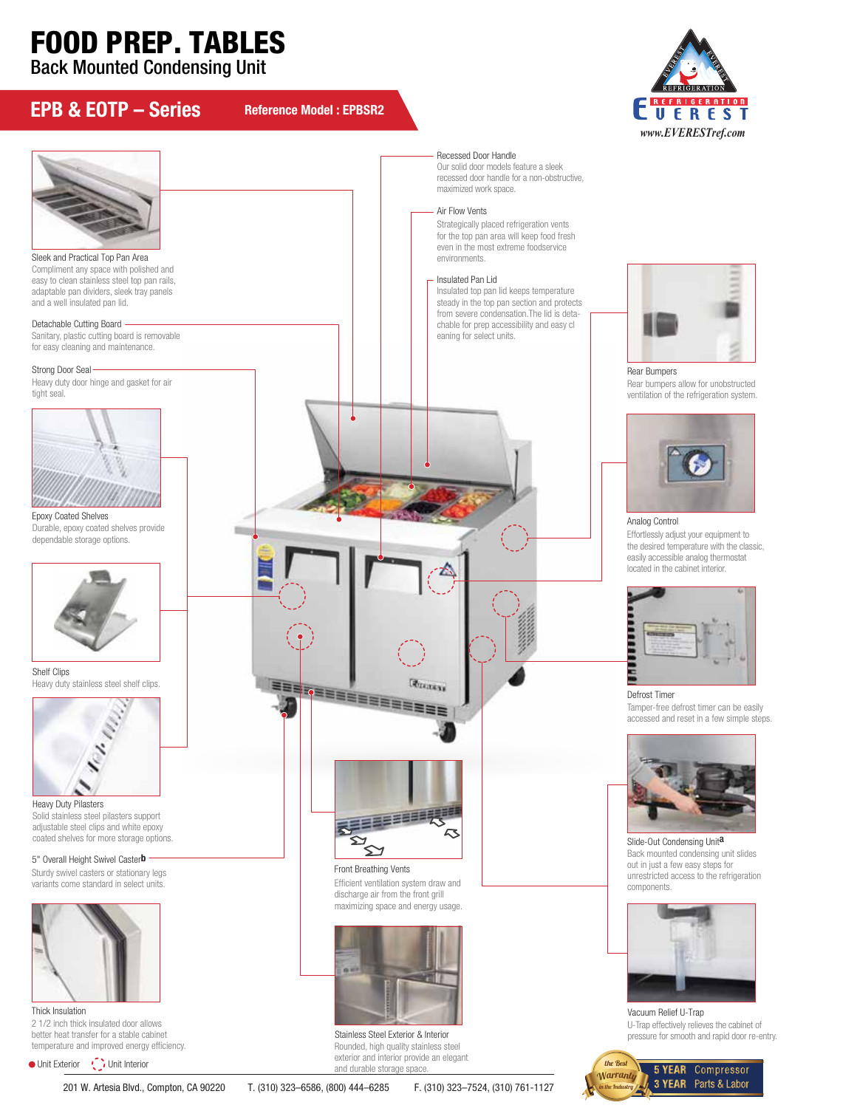## FOOD PREP. TABLES

Back Mounted Condensing Unit



in the Industry